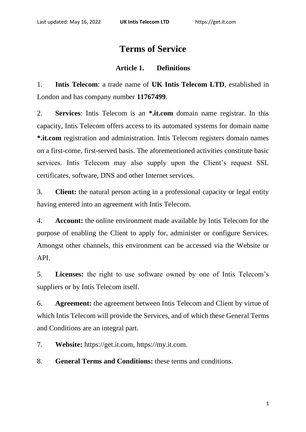# **Terms of Service**

## **Article 1. Definitions**

1. **Intis Telecom**: a trade name of **UK Intis Telecom LTD**, established in London and has company number **11767499**.

2. **Services**: Intis Telecom is an **\*.it.com** domain name registrar. In this capacity, Intis Telecom offers access to its automated systems for domain name **\*.it.com** registration and administration. Intis Telecom registers domain names on a first-come, first-served basis. The aforementioned activities constitute basic services. Intis Telecom may also supply upon the Client's request SSL certificates, software, DNS and other Internet services.

3. **Client:** the natural person acting in a professional capacity or legal entity having entered into an agreement with Intis Telecom.

4. **Account:** the online environment made available by Intis Telecom for the purpose of enabling the Client to apply for, administer or configure Services. Amongst other channels, this environment can be accessed via the Website or API.

5. **Licenses:** the right to use software owned by one of Intis Telecom's suppliers or by Intis Telecom itself.

6. **Agreement:** the agreement between Intis Telecom and Client by virtue of which Intis Telecom will provide the Services, and of which these General Terms and Conditions are an integral part.

7. **Website:** https://get.it.com, https://my.it.com.

8. **General Terms and Conditions:** these terms and conditions.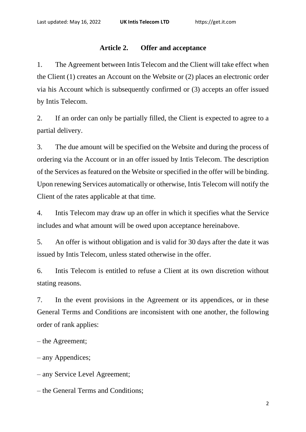## **Article 2. Offer and acceptance**

1. The Agreement between Intis Telecom and the Client will take effect when the Client (1) creates an Account on the Website or (2) places an electronic order via his Account which is subsequently confirmed or (3) accepts an offer issued by Intis Telecom.

2. If an order can only be partially filled, the Client is expected to agree to a partial delivery.

3. The due amount will be specified on the Website and during the process of ordering via the Account or in an offer issued by Intis Telecom. The description of the Services as featured on the Website or specified in the offer will be binding. Upon renewing Services automatically or otherwise, Intis Telecom will notify the Client of the rates applicable at that time.

4. Intis Telecom may draw up an offer in which it specifies what the Service includes and what amount will be owed upon acceptance hereinabove.

5. An offer is without obligation and is valid for 30 days after the date it was issued by Intis Telecom, unless stated otherwise in the offer.

6. Intis Telecom is entitled to refuse a Client at its own discretion without stating reasons.

7. In the event provisions in the Agreement or its appendices, or in these General Terms and Conditions are inconsistent with one another, the following order of rank applies:

– the Agreement;

– any Appendices;

– any Service Level Agreement;

– the General Terms and Conditions;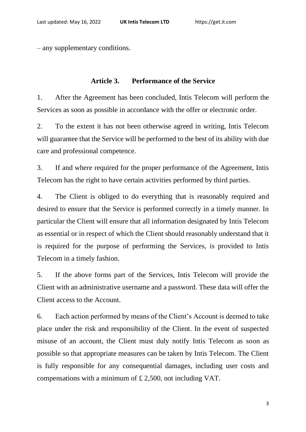– any supplementary conditions.

#### **Article 3. Performance of the Service**

1. After the Agreement has been concluded, Intis Telecom will perform the Services as soon as possible in accordance with the offer or electronic order.

2. To the extent it has not been otherwise agreed in writing, Intis Telecom will guarantee that the Service will be performed to the best of its ability with due care and professional competence.

3. If and where required for the proper performance of the Agreement, Intis Telecom has the right to have certain activities performed by third parties.

4. The Client is obliged to do everything that is reasonably required and desired to ensure that the Service is performed correctly in a timely manner. In particular the Client will ensure that all information designated by Intis Telecom as essential or in respect of which the Client should reasonably understand that it is required for the purpose of performing the Services, is provided to Intis Telecom in a timely fashion.

5. If the above forms part of the Services, Intis Telecom will provide the Client with an administrative username and a password. These data will offer the Client access to the Account.

6. Each action performed by means of the Client's Account is deemed to take place under the risk and responsibility of the Client. In the event of suspected misuse of an account, the Client must duly notify Intis Telecom as soon as possible so that appropriate measures can be taken by Intis Telecom. The Client is fully responsible for any consequential damages, including user costs and compensations with a minimum of £ 2,500, not including VAT.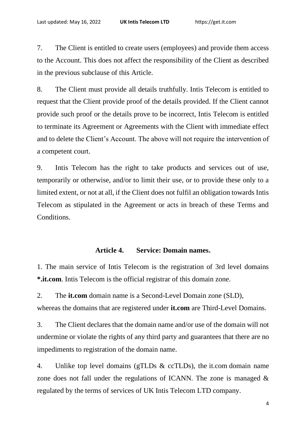7. The Client is entitled to create users (employees) and provide them access to the Account. This does not affect the responsibility of the Client as described in the previous subclause of this Article.

8. The Client must provide all details truthfully. Intis Telecom is entitled to request that the Client provide proof of the details provided. If the Client cannot provide such proof or the details prove to be incorrect, Intis Telecom is entitled to terminate its Agreement or Agreements with the Client with immediate effect and to delete the Client's Account. The above will not require the intervention of a competent court.

9. Intis Telecom has the right to take products and services out of use, temporarily or otherwise, and/or to limit their use, or to provide these only to a limited extent, or not at all, if the Client does not fulfil an obligation towards Intis Telecom as stipulated in the Agreement or acts in breach of these Terms and Conditions.

# **Article 4. Service: Domain names.**

1. The main service of Intis Telecom is the registration of 3rd level domains **\*.it.com**. Intis Telecom is the official registrar of this domain zone.

2. The **[it.com](http://it.com/)** domain name is a Second-Level Domain zone (SLD), whereas the domains that are registered under **[it.com](http://it.com/)** are Third-Level Domains.

3. The Client declares that the domain name and/or use of the domain will not undermine or violate the rights of any third party and guarantees that there are no impediments to registration of the domain name.

4. Unlike top level domains (gTLDs & ccTLDs), the [it.com](http://it.com/) domain name zone does not fall under the regulations of ICANN. The zone is managed  $\&$ regulated by the terms of services of UK Intis Telecom LTD company.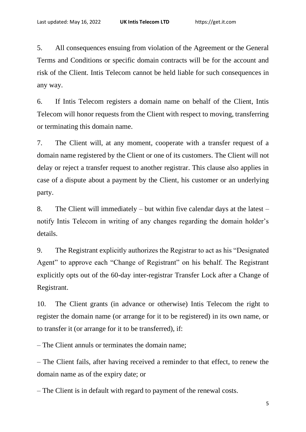5. All consequences ensuing from violation of the Agreement or the General Terms and Conditions or specific domain contracts will be for the account and risk of the Client. Intis Telecom cannot be held liable for such consequences in any way.

6. If Intis Telecom registers a domain name on behalf of the Client, Intis Telecom will honor requests from the Client with respect to moving, transferring or terminating this domain name.

7. The Client will, at any moment, cooperate with a transfer request of a domain name registered by the Client or one of its customers. The Client will not delay or reject a transfer request to another registrar. This clause also applies in case of a dispute about a payment by the Client, his customer or an underlying party.

8. The Client will immediately – but within five calendar days at the latest – notify Intis Telecom in writing of any changes regarding the domain holder's details.

9. The Registrant explicitly authorizes the Registrar to act as his "Designated Agent" to approve each "Change of Registrant" on his behalf. The Registrant explicitly opts out of the 60-day inter-registrar Transfer Lock after a Change of Registrant.

10. The Client grants (in advance or otherwise) Intis Telecom the right to register the domain name (or arrange for it to be registered) in its own name, or to transfer it (or arrange for it to be transferred), if:

– The Client annuls or terminates the domain name;

– The Client fails, after having received a reminder to that effect, to renew the domain name as of the expiry date; or

– The Client is in default with regard to payment of the renewal costs.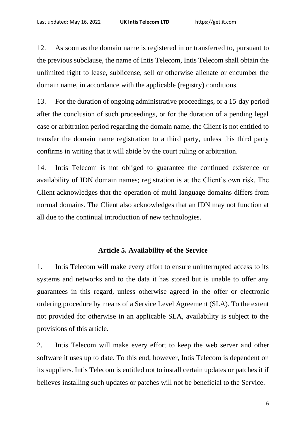12. As soon as the domain name is registered in or transferred to, pursuant to the previous subclause, the name of Intis Telecom, Intis Telecom shall obtain the unlimited right to lease, sublicense, sell or otherwise alienate or encumber the domain name, in accordance with the applicable (registry) conditions.

13. For the duration of ongoing administrative proceedings, or a 15-day period after the conclusion of such proceedings, or for the duration of a pending legal case or arbitration period regarding the domain name, the Client is not entitled to transfer the domain name registration to a third party, unless this third party confirms in writing that it will abide by the court ruling or arbitration.

14. Intis Telecom is not obliged to guarantee the continued existence or availability of IDN domain names; registration is at the Client's own risk. The Client acknowledges that the operation of multi-language domains differs from normal domains. The Client also acknowledges that an IDN may not function at all due to the continual introduction of new technologies.

## **Article 5. Availability of the Service**

1. Intis Telecom will make every effort to ensure uninterrupted access to its systems and networks and to the data it has stored but is unable to offer any guarantees in this regard, unless otherwise agreed in the offer or electronic ordering procedure by means of a Service Level Agreement (SLA). To the extent not provided for otherwise in an applicable SLA, availability is subject to the provisions of this article.

2. Intis Telecom will make every effort to keep the web server and other software it uses up to date. To this end, however, Intis Telecom is dependent on its suppliers. Intis Telecom is entitled not to install certain updates or patches it if believes installing such updates or patches will not be beneficial to the Service.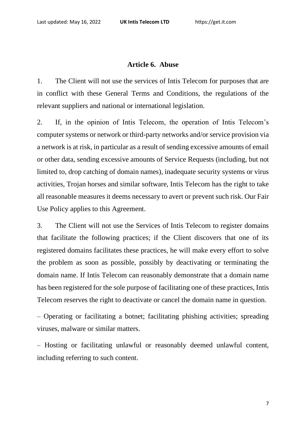#### **Article 6. Abuse**

1. The Client will not use the services of Intis Telecom for purposes that are in conflict with these General Terms and Conditions, the regulations of the relevant suppliers and national or international legislation.

2. If, in the opinion of Intis Telecom, the operation of Intis Telecom's computer systems or network or third-party networks and/or service provision via a network is at risk, in particular as a result of sending excessive amounts of email or other data, sending excessive amounts of Service Requests (including, but not limited to, drop catching of domain names), inadequate security systems or virus activities, Trojan horses and similar software, Intis Telecom has the right to take all reasonable measures it deems necessary to avert or prevent such risk. Our Fair Use Policy applies to this Agreement.

3. The Client will not use the Services of Intis Telecom to register domains that facilitate the following practices; if the Client discovers that one of its registered domains facilitates these practices, he will make every effort to solve the problem as soon as possible, possibly by deactivating or terminating the domain name. If Intis Telecom can reasonably demonstrate that a domain name has been registered for the sole purpose of facilitating one of these practices, Intis Telecom reserves the right to deactivate or cancel the domain name in question.

– Operating or facilitating a botnet; facilitating phishing activities; spreading viruses, malware or similar matters.

– Hosting or facilitating unlawful or reasonably deemed unlawful content, including referring to such content.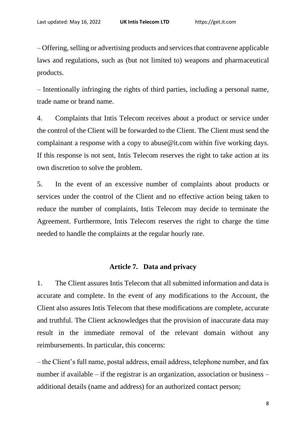– Offering, selling or advertising products and services that contravene applicable laws and regulations, such as (but not limited to) weapons and pharmaceutical products.

– Intentionally infringing the rights of third parties, including a personal name, trade name or brand name.

4. Complaints that Intis Telecom receives about a product or service under the control of the Client will be forwarded to the Client. The Client must send the complainant a response with a copy to abuse@it.com within five working days. If this response is not sent, Intis Telecom reserves the right to take action at its own discretion to solve the problem.

5. In the event of an excessive number of complaints about products or services under the control of the Client and no effective action being taken to reduce the number of complaints, Intis Telecom may decide to terminate the Agreement. Furthermore, Intis Telecom reserves the right to charge the time needed to handle the complaints at the regular hourly rate.

#### **Article 7. Data and privacy**

1. The Client assures Intis Telecom that all submitted information and data is accurate and complete. In the event of any modifications to the Account, the Client also assures Intis Telecom that these modifications are complete, accurate and truthful. The Client acknowledges that the provision of inaccurate data may result in the immediate removal of the relevant domain without any reimbursements. In particular, this concerns:

– the Client's full name, postal address, email address, telephone number, and fax number if available – if the registrar is an organization, association or business – additional details (name and address) for an authorized contact person;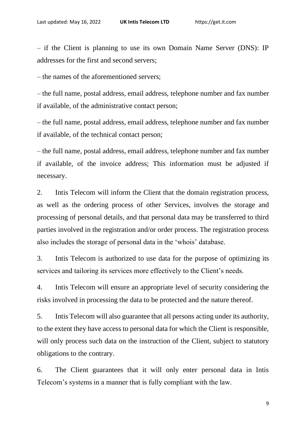– if the Client is planning to use its own Domain Name Server (DNS): IP addresses for the first and second servers;

– the names of the aforementioned servers;

– the full name, postal address, email address, telephone number and fax number if available, of the administrative contact person;

– the full name, postal address, email address, telephone number and fax number if available, of the technical contact person;

– the full name, postal address, email address, telephone number and fax number if available, of the invoice address; This information must be adjusted if necessary.

2. Intis Telecom will inform the Client that the domain registration process, as well as the ordering process of other Services, involves the storage and processing of personal details, and that personal data may be transferred to third parties involved in the registration and/or order process. The registration process also includes the storage of personal data in the 'whois' database.

3. Intis Telecom is authorized to use data for the purpose of optimizing its services and tailoring its services more effectively to the Client's needs.

4. Intis Telecom will ensure an appropriate level of security considering the risks involved in processing the data to be protected and the nature thereof.

5. Intis Telecom will also guarantee that all persons acting under its authority, to the extent they have access to personal data for which the Client is responsible, will only process such data on the instruction of the Client, subject to statutory obligations to the contrary.

6. The Client guarantees that it will only enter personal data in Intis Telecom's systems in a manner that is fully compliant with the law.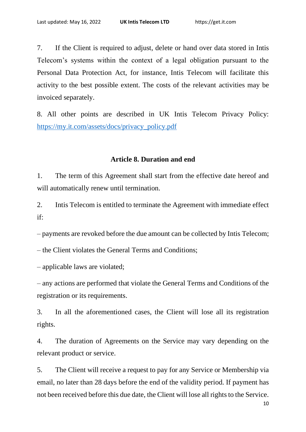7. If the Client is required to adjust, delete or hand over data stored in Intis Telecom's systems within the context of a legal obligation pursuant to the Personal Data Protection Act, for instance, Intis Telecom will facilitate this activity to the best possible extent. The costs of the relevant activities may be invoiced separately.

8. All other points are described in UK Intis Telecom Privacy Policy: [https://my.it.com/assets/docs/privacy\\_policy.pdf](https://my.it.com/assets/docs/privacy_policy.pdf)

#### **Article 8. Duration and end**

1. The term of this Agreement shall start from the effective date hereof and will automatically renew until termination.

2. Intis Telecom is entitled to terminate the Agreement with immediate effect if:

– payments are revoked before the due amount can be collected by Intis Telecom;

– the Client violates the General Terms and Conditions;

– applicable laws are violated;

– any actions are performed that violate the General Terms and Conditions of the registration or its requirements.

3. In all the aforementioned cases, the Client will lose all its registration rights.

4. The duration of Agreements on the Service may vary depending on the relevant product or service.

5. The Client will receive a request to pay for any Service or Membership via email, no later than 28 days before the end of the validity period. If payment has not been received before this due date, the Client will lose all rights to the Service.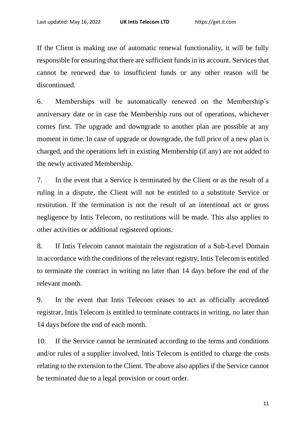If the Client is making use of automatic renewal functionality, it will be fully responsible for ensuring that there are sufficient funds in its account. Services that cannot be renewed due to insufficient funds or any other reason will be discontinued.

6. Memberships will be automatically renewed on the Membership's anniversary date or in case the Membership runs out of operations, whichever comes first. The upgrade and downgrade to another plan are possible at any moment in time. In case of upgrade or downgrade, the full price of a new plan is charged, and the operations left in existing Membership (if any) are not added to the newly activated Membership.

7. In the event that a Service is terminated by the Client or as the result of a ruling in a dispute, the Client will not be entitled to a substitute Service or restitution. If the termination is not the result of an intentional act or gross negligence by Intis Telecom, no restitutions will be made. This also applies to other activities or additional registered options.

8. If Intis Telecom cannot maintain the registration of a Sub-Level Domain in accordance with the conditions of the relevant registry, Intis Telecom is entitled to terminate the contract in writing no later than 14 days before the end of the relevant month.

9. In the event that Intis Telecom ceases to act as officially accredited registrar, Intis Telecom is entitled to terminate contracts in writing, no later than 14 days before the end of each month.

10. If the Service cannot be terminated according to the terms and conditions and/or rules of a supplier involved, Intis Telecom is entitled to charge the costs relating to the extension to the Client. The above also applies if the Service cannot be terminated due to a legal provision or court order.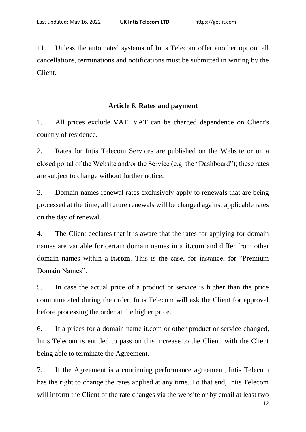11. Unless the automated systems of Intis Telecom offer another option, all cancellations, terminations and notifications must be submitted in writing by the Client.

## **Article 6. Rates and payment**

1. All prices exclude VAT. VAT can be charged dependence on Client's country of residence.

2. Rates for Intis Telecom Services are published on the Website or on a closed portal of the Website and/or the Service (e.g. the "Dashboard"); these rates are subject to change without further notice.

3. Domain names renewal rates exclusively apply to renewals that are being processed at the time; all future renewals will be charged against applicable rates on the day of renewal.

4. The Client declares that it is aware that the rates for applying for domain names are variable for certain domain names in a **it.com** and differ from other domain names within a **it.com**. This is the case, for instance, for "Premium Domain Names".

5. In case the actual price of a product or service is higher than the price communicated during the order, Intis Telecom will ask the Client for approval before processing the order at the higher price.

6. If a prices for a domain name it.com or other product or service changed, Intis Telecom is entitled to pass on this increase to the Client, with the Client being able to terminate the Agreement.

7. If the Agreement is a continuing performance agreement, Intis Telecom has the right to change the rates applied at any time. To that end, Intis Telecom will inform the Client of the rate changes via the website or by email at least two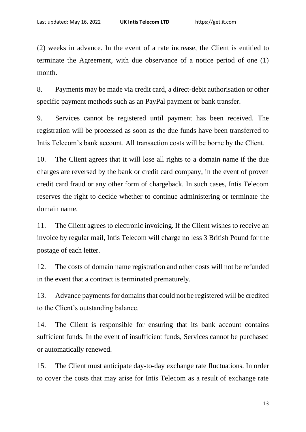(2) weeks in advance. In the event of a rate increase, the Client is entitled to terminate the Agreement, with due observance of a notice period of one (1) month.

8. Payments may be made via credit card, a direct-debit authorisation or other specific payment methods such as an PayPal payment or bank transfer.

9. Services cannot be registered until payment has been received. The registration will be processed as soon as the due funds have been transferred to Intis Telecom's bank account. All transaction costs will be borne by the Client.

10. The Client agrees that it will lose all rights to a domain name if the due charges are reversed by the bank or credit card company, in the event of proven credit card fraud or any other form of chargeback. In such cases, Intis Telecom reserves the right to decide whether to continue administering or terminate the domain name.

11. The Client agrees to electronic invoicing. If the Client wishes to receive an invoice by regular mail, Intis Telecom will charge no less 3 British Pound for the postage of each letter.

12. The costs of domain name registration and other costs will not be refunded in the event that a contract is terminated prematurely.

13. Advance payments for domains that could not be registered will be credited to the Client's outstanding balance.

14. The Client is responsible for ensuring that its bank account contains sufficient funds. In the event of insufficient funds, Services cannot be purchased or automatically renewed.

15. The Client must anticipate day-to-day exchange rate fluctuations. In order to cover the costs that may arise for Intis Telecom as a result of exchange rate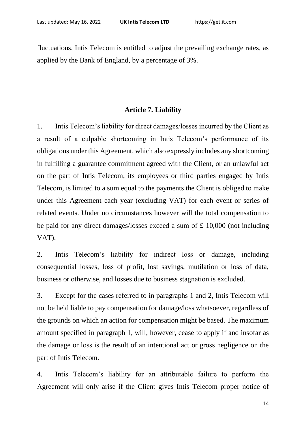fluctuations, Intis Telecom is entitled to adjust the prevailing exchange rates, as applied by the Bank of England, by a percentage of 3%.

# **Article 7. Liability**

1. Intis Telecom's liability for direct damages/losses incurred by the Client as a result of a culpable shortcoming in Intis Telecom's performance of its obligations under this Agreement, which also expressly includes any shortcoming in fulfilling a guarantee commitment agreed with the Client, or an unlawful act on the part of Intis Telecom, its employees or third parties engaged by Intis Telecom, is limited to a sum equal to the payments the Client is obliged to make under this Agreement each year (excluding VAT) for each event or series of related events. Under no circumstances however will the total compensation to be paid for any direct damages/losses exceed a sum of £ 10,000 (not including VAT).

2. Intis Telecom's liability for indirect loss or damage, including consequential losses, loss of profit, lost savings, mutilation or loss of data, business or otherwise, and losses due to business stagnation is excluded.

3. Except for the cases referred to in paragraphs 1 and 2, Intis Telecom will not be held liable to pay compensation for damage/loss whatsoever, regardless of the grounds on which an action for compensation might be based. The maximum amount specified in paragraph 1, will, however, cease to apply if and insofar as the damage or loss is the result of an intentional act or gross negligence on the part of Intis Telecom.

4. Intis Telecom's liability for an attributable failure to perform the Agreement will only arise if the Client gives Intis Telecom proper notice of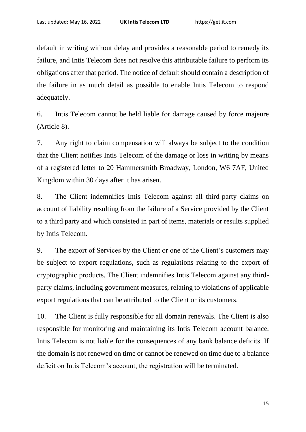default in writing without delay and provides a reasonable period to remedy its failure, and Intis Telecom does not resolve this attributable failure to perform its obligations after that period. The notice of default should contain a description of the failure in as much detail as possible to enable Intis Telecom to respond adequately.

6. Intis Telecom cannot be held liable for damage caused by force majeure (Article 8).

7. Any right to claim compensation will always be subject to the condition that the Client notifies Intis Telecom of the damage or loss in writing by means of a registered letter to 20 Hammersmith Broadway, London, W6 7AF, United Kingdom within 30 days after it has arisen.

8. The Client indemnifies Intis Telecom against all third-party claims on account of liability resulting from the failure of a Service provided by the Client to a third party and which consisted in part of items, materials or results supplied by Intis Telecom.

9. The export of Services by the Client or one of the Client's customers may be subject to export regulations, such as regulations relating to the export of cryptographic products. The Client indemnifies Intis Telecom against any thirdparty claims, including government measures, relating to violations of applicable export regulations that can be attributed to the Client or its customers.

10. The Client is fully responsible for all domain renewals. The Client is also responsible for monitoring and maintaining its Intis Telecom account balance. Intis Telecom is not liable for the consequences of any bank balance deficits. If the domain is not renewed on time or cannot be renewed on time due to a balance deficit on Intis Telecom's account, the registration will be terminated.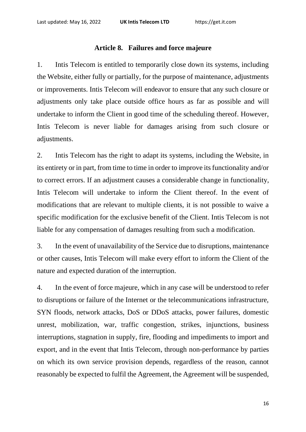## **Article 8. Failures and force majeure**

1. Intis Telecom is entitled to temporarily close down its systems, including the Website, either fully or partially, for the purpose of maintenance, adjustments or improvements. Intis Telecom will endeavor to ensure that any such closure or adjustments only take place outside office hours as far as possible and will undertake to inform the Client in good time of the scheduling thereof. However, Intis Telecom is never liable for damages arising from such closure or adjustments.

2. Intis Telecom has the right to adapt its systems, including the Website, in its entirety or in part, from time to time in order to improve its functionality and/or to correct errors. If an adjustment causes a considerable change in functionality, Intis Telecom will undertake to inform the Client thereof. In the event of modifications that are relevant to multiple clients, it is not possible to waive a specific modification for the exclusive benefit of the Client. Intis Telecom is not liable for any compensation of damages resulting from such a modification.

3. In the event of unavailability of the Service due to disruptions, maintenance or other causes, Intis Telecom will make every effort to inform the Client of the nature and expected duration of the interruption.

4. In the event of force majeure, which in any case will be understood to refer to disruptions or failure of the Internet or the telecommunications infrastructure, SYN floods, network attacks, DoS or DDoS attacks, power failures, domestic unrest, mobilization, war, traffic congestion, strikes, injunctions, business interruptions, stagnation in supply, fire, flooding and impediments to import and export, and in the event that Intis Telecom, through non-performance by parties on which its own service provision depends, regardless of the reason, cannot reasonably be expected to fulfil the Agreement, the Agreement will be suspended,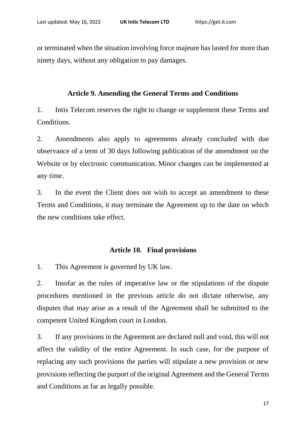or terminated when the situation involving force majeure has lasted for more than ninety days, without any obligation to pay damages.

# **Article 9. Amending the General Terms and Conditions**

1. Intis Telecom reserves the right to change or supplement these Terms and Conditions.

2. Amendments also apply to agreements already concluded with due observance of a term of 30 days following publication of the amendment on the Website or by electronic communication. Minor changes can be implemented at any time.

3. In the event the Client does not wish to accept an amendment to these Terms and Conditions, it may terminate the Agreement up to the date on which the new conditions take effect.

# **Article 10. Final provisions**

1. This Agreement is governed by UK law.

2. Insofar as the rules of imperative law or the stipulations of the dispute procedures mentioned in the previous article do not dictate otherwise, any disputes that may arise as a result of the Agreement shall be submitted to the competent United Kingdom court in London.

3. If any provisions in the Agreement are declared null and void, this will not affect the validity of the entire Agreement. In such case, for the purpose of replacing any such provisions the parties will stipulate a new provision or new provisions reflecting the purport of the original Agreement and the General Terms and Conditions as far as legally possible.